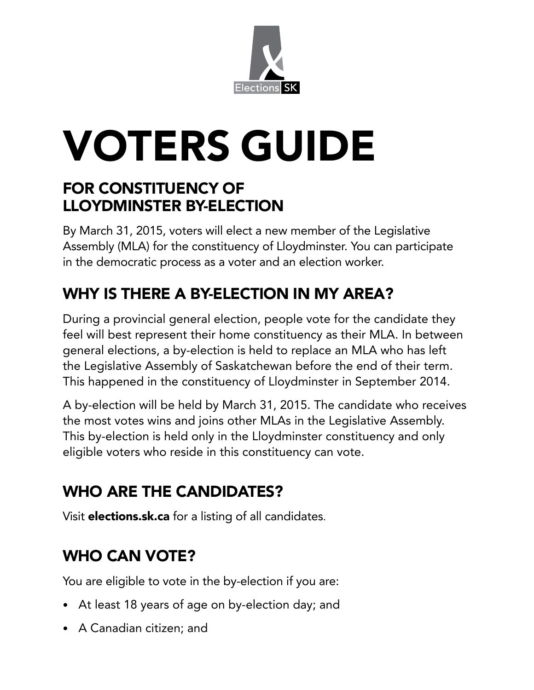

# VOTERS GUIDE

## FOR CONSTITUENCY OF LLOYDMINSTER BY-ELECTION

By March 31, 2015, voters will elect a new member of the Legislative Assembly (MLA) for the constituency of Lloydminster. You can participate in the democratic process as a voter and an election worker.

# WHY IS THERE A BY-ELECTION IN MY AREA?

During a provincial general election, people vote for the candidate they feel will best represent their home constituency as their MLA. In between general elections, a by-election is held to replace an MLA who has left the Legislative Assembly of Saskatchewan before the end of their term. This happened in the constituency of Lloydminster in September 2014.

A by-election will be held by March 31, 2015. The candidate who receives the most votes wins and joins other MLAs in the Legislative Assembly. This by-election is held only in the Lloydminster constituency and only eligible voters who reside in this constituency can vote.

# WHO ARE THE CANDIDATES?

Visit elections.sk.ca for a listing of all candidates.

# WHO CAN VOTE?

You are eligible to vote in the by-election if you are:

- At least 18 years of age on by-election day; and
- A Canadian citizen; and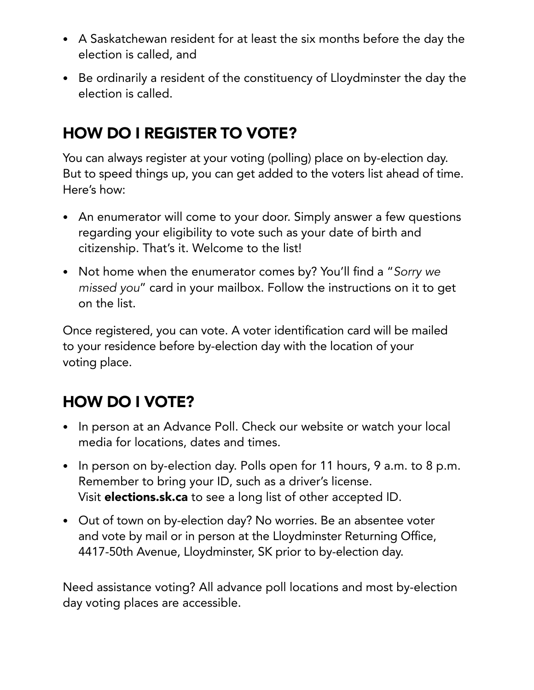- A Saskatchewan resident for at least the six months before the day the election is called, and
- Be ordinarily a resident of the constituency of Lloydminster the day the election is called.

## HOW DO I REGISTER TO VOTE?

You can always register at your voting (polling) place on by-election day. But to speed things up, you can get added to the voters list ahead of time. Here's how:

- An enumerator will come to your door. Simply answer a few questions regarding your eligibility to vote such as your date of birth and citizenship. That's it. Welcome to the list!
- Not home when the enumerator comes by? You'll find a "*Sorry we missed you*" card in your mailbox. Follow the instructions on it to get on the list.

Once registered, you can vote. A voter identification card will be mailed to your residence before by-election day with the location of your voting place.

## HOW DO I VOTE?

- In person at an Advance Poll. Check our website or watch your local media for locations, dates and times.
- In person on by-election day. Polls open for 11 hours, 9 a.m. to 8 p.m. Remember to bring your ID, such as a driver's license. Visit **elections.sk.ca** to see a long list of other accepted ID.
- Out of town on by-election day? No worries. Be an absentee voter and vote by mail or in person at the Lloydminster Returning Office, 4417-50th Avenue, Lloydminster, SK prior to by-election day.

Need assistance voting? All advance poll locations and most by-election day voting places are accessible.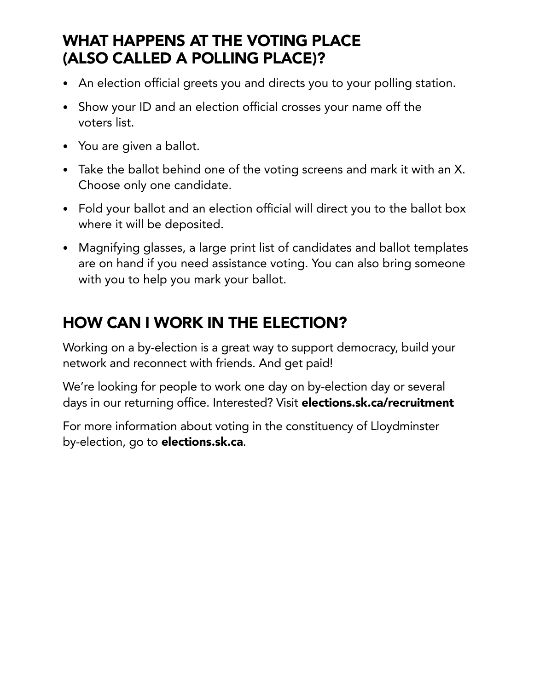## WHAT HAPPENS AT THE VOTING PLACE (ALSO CALLED A POLLING PLACE)?

- An election official greets you and directs you to your polling station.
- Show your ID and an election official crosses your name off the voters list.
- You are given a ballot.
- Take the ballot behind one of the voting screens and mark it with an X. Choose only one candidate.
- Fold your ballot and an election official will direct you to the ballot box where it will be deposited.
- Magnifying glasses, a large print list of candidates and ballot templates are on hand if you need assistance voting. You can also bring someone with you to help you mark your ballot.

## HOW CAN I WORK IN THE ELECTION?

Working on a by-election is a great way to support democracy, build your network and reconnect with friends. And get paid!

We're looking for people to work one day on by-election day or several days in our returning office. Interested? Visit elections.sk.ca/recruitment

For more information about voting in the constituency of Lloydminster by-election, go to elections.sk.ca.